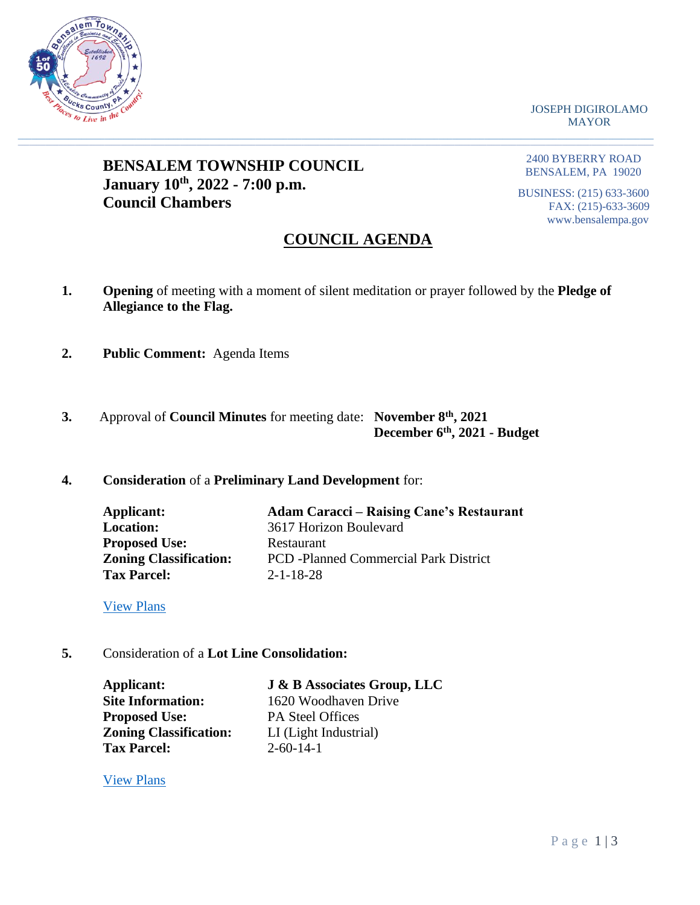

JOSEPH DIGIROLAMO MAYOR

# **BENSALEM TOWNSHIP COUNCIL January 10th, 2022 - 7:00 p.m. Council Chambers**

2400 BYBERRY ROAD BENSALEM, PA 19020

BUSINESS: (215) 633-3600 FAX: (215)-633-3609 www.bensalempa.gov

# **COUNCIL AGENDA**

**1. Opening** of meeting with a moment of silent meditation or prayer followed by the **Pledge of Allegiance to the Flag.**

 $\_$  , and the set of the set of the set of the set of the set of the set of the set of the set of the set of the set of the set of the set of the set of the set of the set of the set of the set of the set of the set of th

- **2. Public Comment:** Agenda Items
- **3.** Approval of **Council Minutes** for meeting date: **November 8th, 2021 December 6th, 2021 - Budget**

### **4. Consideration** of a **Preliminary Land Development** for:

| Applicant:                    | <b>Adam Caracci – Raising Cane's Restaurant</b> |
|-------------------------------|-------------------------------------------------|
| <b>Location:</b>              | 3617 Horizon Boulevard                          |
| <b>Proposed Use:</b>          | Restaurant                                      |
| <b>Zoning Classification:</b> | <b>PCD</b> -Planned Commercial Park District    |
| <b>Tax Parcel:</b>            | $2 - 1 - 18 - 28$                               |

[View Plans](https://www.bensalempa.gov/uploads/2/4/9/3/24936441/horizon_blvd_3617_-_prel-final_ld_revised.pdf)

**5.** Consideration of a **Lot Line Consolidation:**

**Proposed Use:** PA Steel Offices **Zoning Classification:** LI (Light Industrial) **Tax Parcel:** 2-60-14-1

**Applicant: J & B Associates Group, LLC Site Information:** 1620 Woodhaven Drive

[View Plans](https://www.bensalempa.gov/uploads/2/4/9/3/24936441/woodhaven_dr_1620_-_lot_line_change_-_pa_steel.pdf)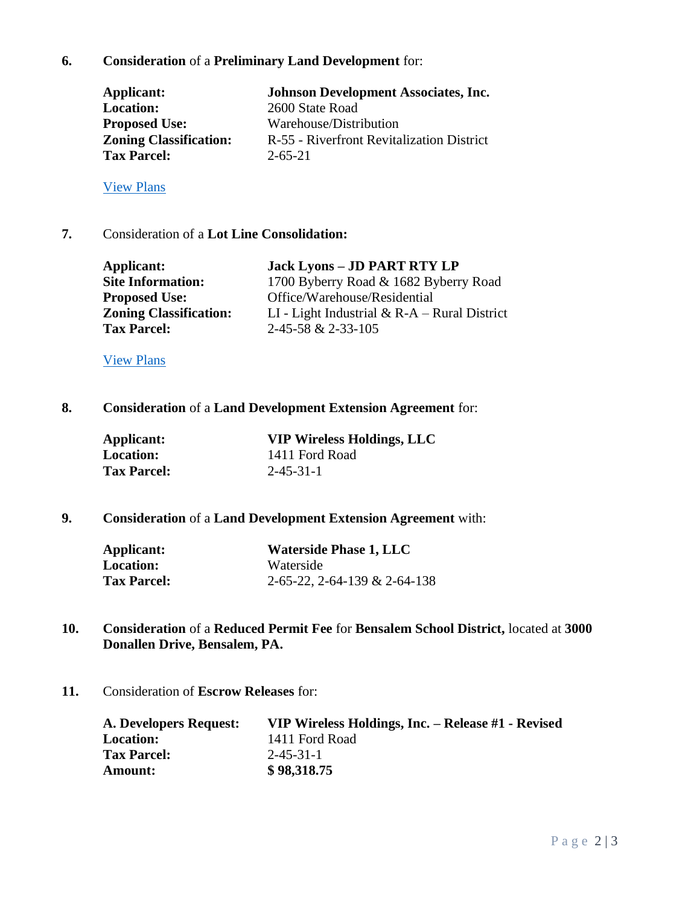## **6. Consideration** of a **Preliminary Land Development** for:

| Applicant:                    | <b>Johnson Development Associates, Inc.</b> |
|-------------------------------|---------------------------------------------|
| <b>Location:</b>              | 2600 State Road                             |
| <b>Proposed Use:</b>          | Warehouse/Distribution                      |
| <b>Zoning Classification:</b> | R-55 - Riverfront Revitalization District   |
| <b>Tax Parcel:</b>            | $2 - 65 - 21$                               |

### [View Plans](https://www.bensalempa.gov/uploads/2/4/9/3/24936441/state_rd_2600_-_prel_ld_-_revised_plan_2.pdf)

### **7.** Consideration of a **Lot Line Consolidation:**

| Applicant:                    | <b>Jack Lyons - JD PART RTY LP</b>              |
|-------------------------------|-------------------------------------------------|
| <b>Site Information:</b>      | 1700 Byberry Road & 1682 Byberry Road           |
| <b>Proposed Use:</b>          | Office/Warehouse/Residential                    |
| <b>Zoning Classification:</b> | LI - Light Industrial $\& R-A - Rural District$ |
| <b>Tax Parcel:</b>            | $2-45-58$ & $2-33-105$                          |

#### [View Plans](https://www.bensalempa.gov/uploads/2/4/9/3/24936441/byberry_rd_1700___1682_-_revised_plan.pdf)

### **8. Consideration** of a **Land Development Extension Agreement** for:

| Applicant:         | <b>VIP Wireless Holdings, LLC</b> |
|--------------------|-----------------------------------|
| <b>Location:</b>   | 1411 Ford Road                    |
| <b>Tax Parcel:</b> | $2 - 45 - 31 - 1$                 |

## **9. Consideration** of a **Land Development Extension Agreement** with:

| Applicant:         | <b>Waterside Phase 1, LLC</b> |
|--------------------|-------------------------------|
| Location:          | Waterside                     |
| <b>Tax Parcel:</b> | 2-65-22, 2-64-139 & 2-64-138  |

- **10. Consideration** of a **Reduced Permit Fee** for **Bensalem School District,** located at **3000 Donallen Drive, Bensalem, PA.**
- **11.** Consideration of **Escrow Releases** for:

| <b>A. Developers Request:</b> | VIP Wireless Holdings, Inc. – Release #1 - Revised |
|-------------------------------|----------------------------------------------------|
| <b>Location:</b>              | 1411 Ford Road                                     |
| <b>Tax Parcel:</b>            | $2 - 45 - 31 - 1$                                  |
| Amount:                       | \$98,318.75                                        |